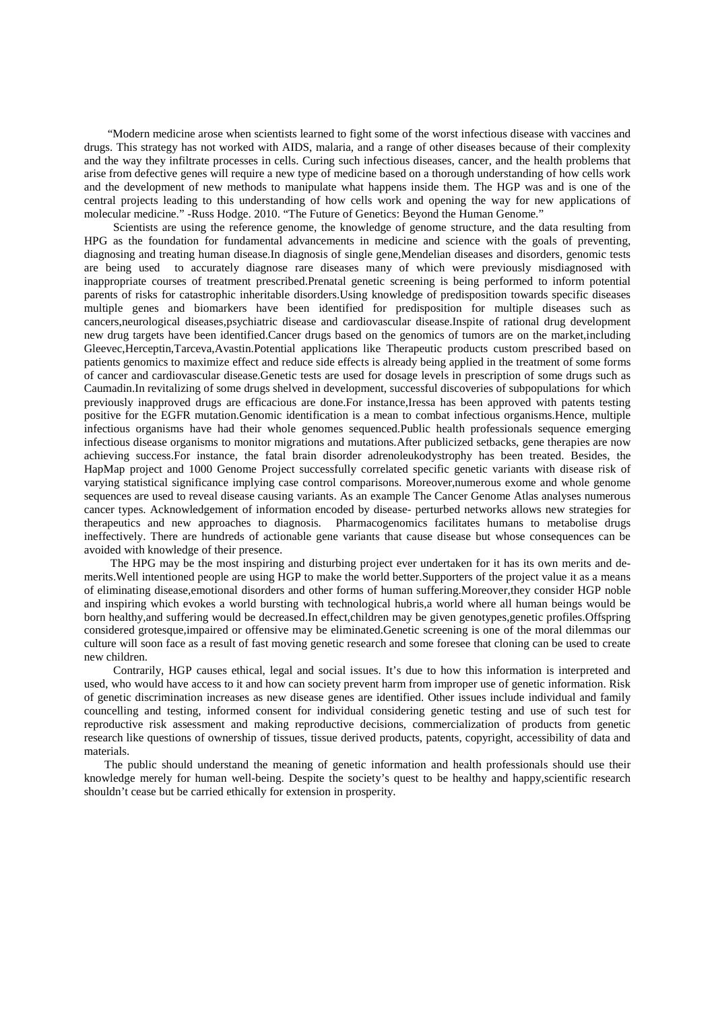"Modern medicine arose when scientists learned to fight some of the worst infectious disease with vaccines and drugs. This strategy has not worked with AIDS, malaria, and a range of other diseases because of their complexity and the way they infiltrate processes in cells. Curing such infectious diseases, cancer, and the health problems that arise from defective genes will require a new type of medicine based on a thorough understanding of how cells work and the development of new methods to manipulate what happens inside them. The HGP was and is one of the central projects leading to this understanding of how cells work and opening the way for new applications of molecular medicine." -Russ Hodge. 2010. "The Future of Genetics: Beyond the Human Genome."

 Scientists are using the reference genome, the knowledge of genome structure, and the data resulting from HPG as the foundation for fundamental advancements in medicine and science with the goals of preventing, diagnosing and treating human disease.In diagnosis of single gene,Mendelian diseases and disorders, genomic tests are being used to accurately diagnose rare diseases many of which were previously misdiagnosed with inappropriate courses of treatment prescribed.Prenatal genetic screening is being performed to inform potential parents of risks for catastrophic inheritable disorders.Using knowledge of predisposition towards specific diseases multiple genes and biomarkers have been identified for predisposition for multiple diseases such as cancers,neurological diseases,psychiatric disease and cardiovascular disease.Inspite of rational drug development new drug targets have been identified.Cancer drugs based on the genomics of tumors are on the market,including Gleevec,Herceptin,Tarceva,Avastin.Potential applications like Therapeutic products custom prescribed based on patients genomics to maximize effect and reduce side effects is already being applied in the treatment of some forms of cancer and cardiovascular disease.Genetic tests are used for dosage levels in prescription of some drugs such as Caumadin.In revitalizing of some drugs shelved in development, successful discoveries of subpopulations for which previously inapproved drugs are efficacious are done.For instance,Iressa has been approved with patents testing positive for the EGFR mutation.Genomic identification is a mean to combat infectious organisms.Hence, multiple infectious organisms have had their whole genomes sequenced.Public health professionals sequence emerging infectious disease organisms to monitor migrations and mutations.After publicized setbacks, gene therapies are now achieving success.For instance, the fatal brain disorder adrenoleukodystrophy has been treated. Besides, the HapMap project and 1000 Genome Project successfully correlated specific genetic variants with disease risk of varying statistical significance implying case control comparisons. Moreover,numerous exome and whole genome sequences are used to reveal disease causing variants. As an example The Cancer Genome Atlas analyses numerous cancer types. Acknowledgement of information encoded by disease- perturbed networks allows new strategies for therapeutics and new approaches to diagnosis. Pharmacogenomics facilitates humans to metabolise drugs ineffectively. There are hundreds of actionable gene variants that cause disease but whose consequences can be avoided with knowledge of their presence.

 The HPG may be the most inspiring and disturbing project ever undertaken for it has its own merits and demerits.Well intentioned people are using HGP to make the world better.Supporters of the project value it as a means of eliminating disease,emotional disorders and other forms of human suffering.Moreover,they consider HGP noble and inspiring which evokes a world bursting with technological hubris,a world where all human beings would be born healthy,and suffering would be decreased.In effect,children may be given genotypes,genetic profiles.Offspring considered grotesque,impaired or offensive may be eliminated.Genetic screening is one of the moral dilemmas our culture will soon face as a result of fast moving genetic research and some foresee that cloning can be used to create new children.

 Contrarily, HGP causes ethical, legal and social issues. It's due to how this information is interpreted and used, who would have access to it and how can society prevent harm from improper use of genetic information. Risk of genetic discrimination increases as new disease genes are identified. Other issues include individual and family councelling and testing, informed consent for individual considering genetic testing and use of such test for reproductive risk assessment and making reproductive decisions, commercialization of products from genetic research like questions of ownership of tissues, tissue derived products, patents, copyright, accessibility of data and materials.

 The public should understand the meaning of genetic information and health professionals should use their knowledge merely for human well-being. Despite the society's quest to be healthy and happy,scientific research shouldn't cease but be carried ethically for extension in prosperity.